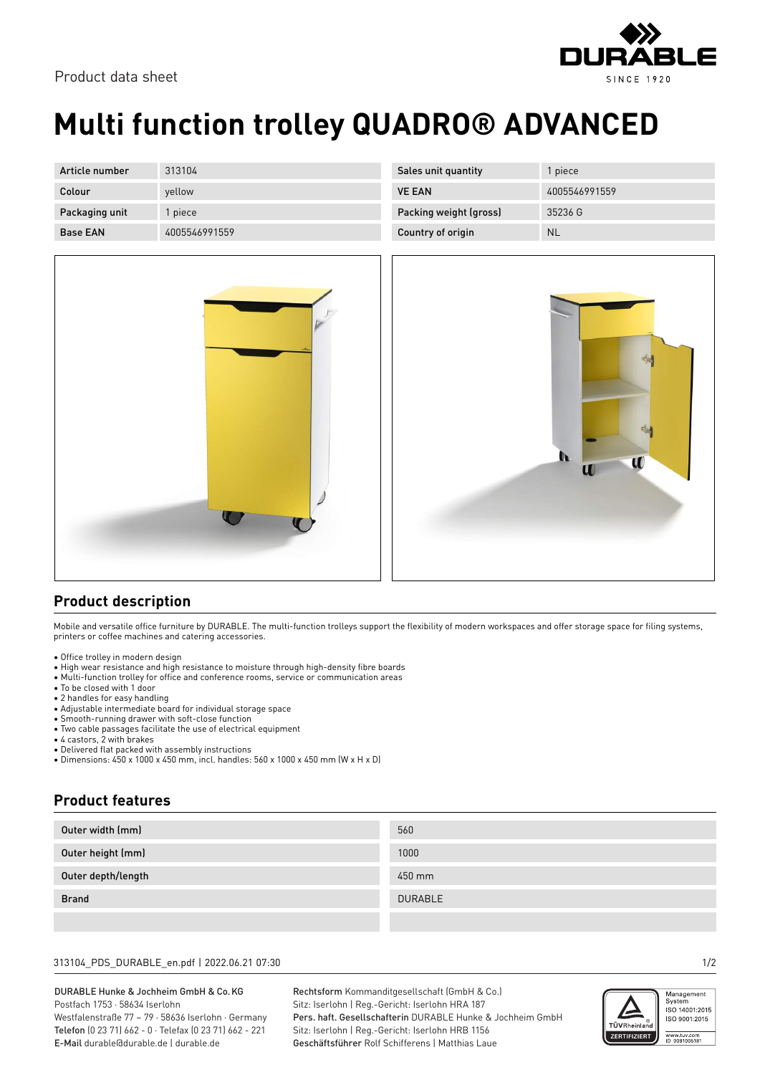

| Article number  | 313104        | Sales unit quantity    | piece         |
|-----------------|---------------|------------------------|---------------|
| Colour          | yellow        | <b>VE EAN</b>          | 4005546991559 |
| Packaging unit  | l piece       | Packing weight (gross) | 35236 G       |
| <b>Base EAN</b> | 4005546991559 | Country of origin      | <b>NL</b>     |





## **Product description**

Mobile and versatile office furniture by DURABLE. The multi-function trolleys support the flexibility of modern workspaces and offer storage space for filing systems, printers or coffee machines and catering accessories.

- Office trolley in modern design
- High wear resistance and high resistance to moisture through high-density fibre boards
- Multi-function trolley for office and conference rooms, service or communication areas
- To be closed with 1 door
- 2 handles for easy handling
- Adjustable intermediate board for individual storage space
- Smooth-running drawer with soft-close function
- Two cable passages facilitate the use of electrical equipment
- 4 castors, 2 with brakes

**Product features**

• Delivered flat packed with assembly instructions • Dimensions: 450 x 1000 x 450 mm, incl. handles: 560 x 1000 x 450 mm (W x H x D)

| Outer width (mm)   | 560     |  |  |
|--------------------|---------|--|--|
| Outer height (mm)  | 1000    |  |  |
| Outer depth/length | 450 mm  |  |  |
| <b>Brand</b>       | DURABLE |  |  |
|                    |         |  |  |

### 313104\_PDS\_DURABLE\_en.pdf | 2022.06.21 07:30 1/2

#### DURABLE Hunke & Jochheim GmbH & Co.KG Postfach 1753 · 58634 Iserlohn Westfalenstraße 77 – 79 · 58636 Iserlohn · Germany

Telefon (0 23 71) 662 - 0 · Telefax (0 23 71) 662 - 221 E-Mail durable@durable.de | durable.de

Rechtsform Kommanditgesellschaft (GmbH & Co.) Sitz: Iserlohn | Reg.-Gericht: Iserlohn HRA 187 Pers. haft. Gesellschafterin DURABLE Hunke & Jochheim GmbH Sitz: Iserlohn | Reg.-Gericht: Iserlohn HRB 1156 Geschäftsführer Rolf Schifferens | Matthias Laue



3LE

**SINCE 1920**